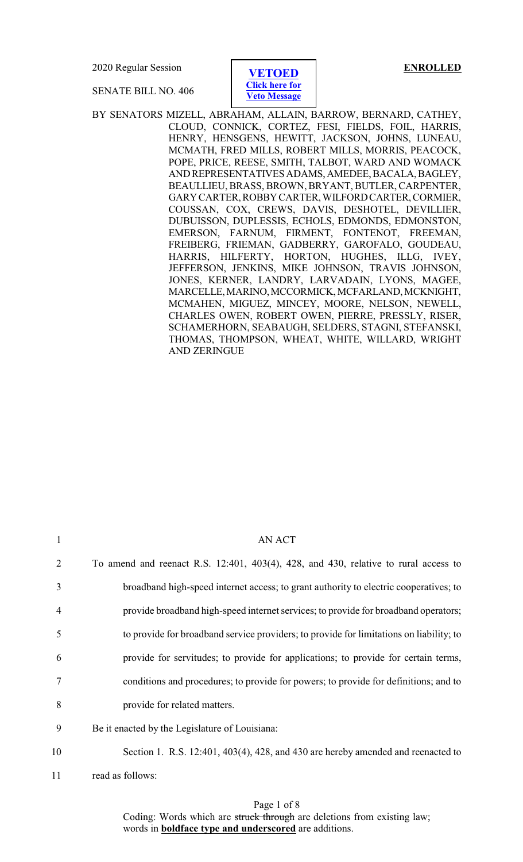2020 Regular Session **ENROLLED**

SENATE BILL NO. 406



BY SENATORS MIZELL, ABRAHAM, ALLAIN, BARROW, BERNARD, CATHEY, CLOUD, CONNICK, CORTEZ, FESI, FIELDS, FOIL, HARRIS, HENRY, HENSGENS, HEWITT, JACKSON, JOHNS, LUNEAU, MCMATH, FRED MILLS, ROBERT MILLS, MORRIS, PEACOCK, POPE, PRICE, REESE, SMITH, TALBOT, WARD AND WOMACK ANDREPRESENTATIVES ADAMS,AMEDEE,BACALA,BAGLEY, BEAULLIEU, BRASS, BROWN, BRYANT, BUTLER, CARPENTER, GARYCARTER,ROBBYCARTER,WILFORDCARTER,CORMIER, COUSSAN, COX, CREWS, DAVIS, DESHOTEL, DEVILLIER, DUBUISSON, DUPLESSIS, ECHOLS, EDMONDS, EDMONSTON, EMERSON, FARNUM, FIRMENT, FONTENOT, FREEMAN, FREIBERG, FRIEMAN, GADBERRY, GAROFALO, GOUDEAU, HARRIS, HILFERTY, HORTON, HUGHES, ILLG, IVEY, JEFFERSON, JENKINS, MIKE JOHNSON, TRAVIS JOHNSON, JONES, KERNER, LANDRY, LARVADAIN, LYONS, MAGEE, MARCELLE,MARINO,MCCORMICK,MCFARLAND,MCKNIGHT, MCMAHEN, MIGUEZ, MINCEY, MOORE, NELSON, NEWELL, CHARLES OWEN, ROBERT OWEN, PIERRE, PRESSLY, RISER, SCHAMERHORN, SEABAUGH, SELDERS, STAGNI, STEFANSKI, THOMAS, THOMPSON, WHEAT, WHITE, WILLARD, WRIGHT AND ZERINGUE

| 1              | <b>AN ACT</b>                                                                           |
|----------------|-----------------------------------------------------------------------------------------|
| 2              | To amend and reenact R.S. 12:401, 403(4), 428, and 430, relative to rural access to     |
| 3              | broadband high-speed internet access; to grant authority to electric cooperatives; to   |
| $\overline{4}$ | provide broadband high-speed internet services; to provide for broadband operators;     |
| 5              | to provide for broadband service providers; to provide for limitations on liability; to |
| 6              | provide for servitudes; to provide for applications; to provide for certain terms,      |
| 7              | conditions and procedures; to provide for powers; to provide for definitions; and to    |
| 8              | provide for related matters.                                                            |
| 9              | Be it enacted by the Legislature of Louisiana:                                          |
| 10             | Section 1. R.S. 12:401, 403(4), 428, and 430 are hereby amended and reenacted to        |
| 11             | read as follows:                                                                        |

Page 1 of 8 Coding: Words which are struck through are deletions from existing law; words in **boldface type and underscored** are additions.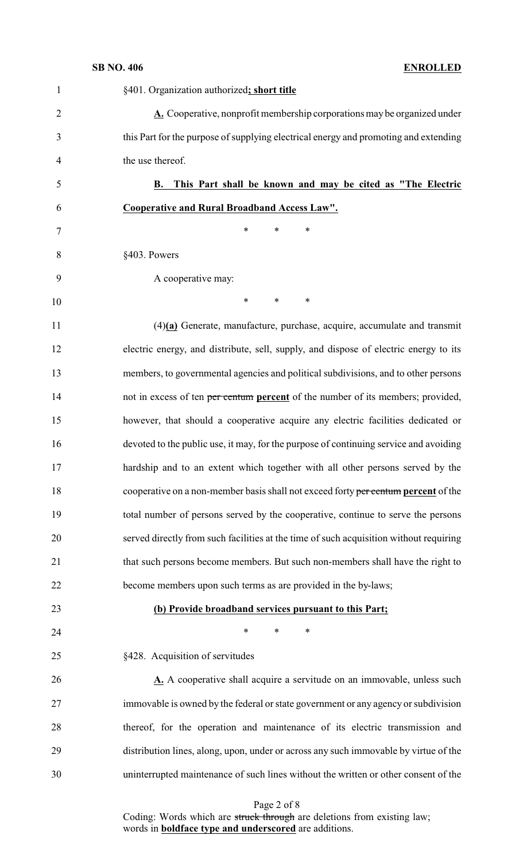| $\mathbf{1}$   | §401. Organization authorized; short title                                             |
|----------------|----------------------------------------------------------------------------------------|
| $\overline{2}$ | $\Delta$ . Cooperative, nonprofit membership corporations may be organized under       |
| 3              | this Part for the purpose of supplying electrical energy and promoting and extending   |
| $\overline{4}$ | the use thereof.                                                                       |
| 5              | This Part shall be known and may be cited as "The Electric<br>В.                       |
| 6              | <b>Cooperative and Rural Broadband Access Law".</b>                                    |
| 7              | $\ast$<br>$\ast$<br>$\ast$                                                             |
| 8              | §403. Powers                                                                           |
| 9              | A cooperative may:                                                                     |
| 10             | $\ast$<br>$\ast$<br>∗                                                                  |
| 11             | $(4)(a)$ Generate, manufacture, purchase, acquire, accumulate and transmit             |
| 12             | electric energy, and distribute, sell, supply, and dispose of electric energy to its   |
| 13             | members, to governmental agencies and political subdivisions, and to other persons     |
| 14             | not in excess of ten per centum percent of the number of its members; provided,        |
| 15             | however, that should a cooperative acquire any electric facilities dedicated or        |
| 16             | devoted to the public use, it may, for the purpose of continuing service and avoiding  |
| 17             | hardship and to an extent which together with all other persons served by the          |
| 18             | cooperative on a non-member basis shall not exceed forty per centum percent of the     |
| 19             | total number of persons served by the cooperative, continue to serve the persons       |
| 20             | served directly from such facilities at the time of such acquisition without requiring |
| 21             | that such persons become members. But such non-members shall have the right to         |
| 22             | become members upon such terms as are provided in the by-laws;                         |
| 23             | (b) Provide broadband services pursuant to this Part;                                  |
| 24             | $\ast$<br>$\ast$<br>∗                                                                  |
| 25             | §428. Acquisition of servitudes                                                        |
| 26             | A. A cooperative shall acquire a servitude on an immovable, unless such                |
| 27             | immovable is owned by the federal or state government or any agency or subdivision     |
| 28             | thereof, for the operation and maintenance of its electric transmission and            |
| 29             | distribution lines, along, upon, under or across any such immovable by virtue of the   |
| 30             | uninterrupted maintenance of such lines without the written or other consent of the    |

Page 2 of 8

Coding: Words which are struck through are deletions from existing law; words in **boldface type and underscored** are additions.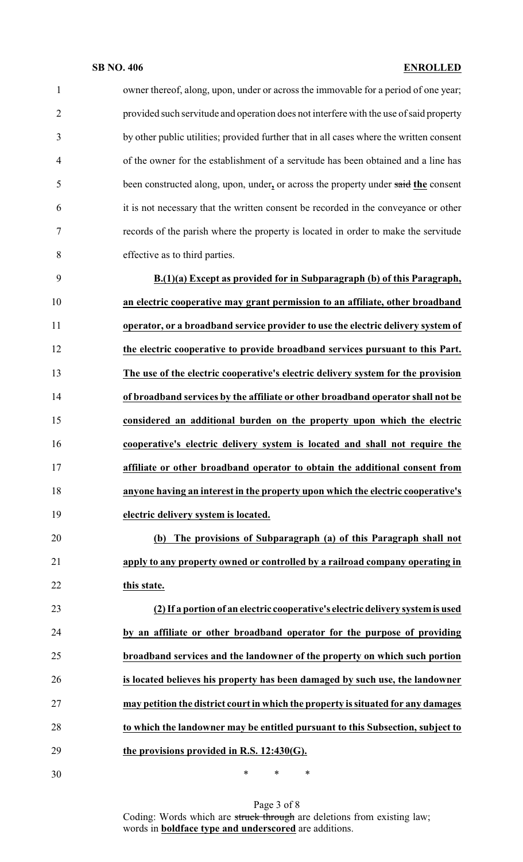**SB NO. 406 ENROLLED** owner thereof, along, upon, under or across the immovable for a period of one year; provided such servitude and operation does not interfere with the use of said property by other public utilities; provided further that in all cases where the written consent of the owner for the establishment of a servitude has been obtained and a line has been constructed along, upon, under**,** or across the property under said **the** consent it is not necessary that the written consent be recorded in the conveyance or other records of the parish where the property is located in order to make the servitude effective as to third parties. **B.(1)(a) Except as provided for in Subparagraph (b) of this Paragraph, an electric cooperative may grant permission to an affiliate, other broadband operator, or a broadband service provider to use the electric delivery system of the electric cooperative to provide broadband services pursuant to this Part. The use of the electric cooperative's electric delivery system for the provision of broadband services by the affiliate or other broadband operator shall not be considered an additional burden on the property upon which the electric cooperative's electric delivery system is located and shall not require the affiliate or other broadband operator to obtain the additional consent from anyone having an interest in the property upon which the electric cooperative's electric delivery system is located. (b) The provisions of Subparagraph (a) of this Paragraph shall not apply to any property owned or controlled by a railroad company operating in this state. (2) If a portion of an electric cooperative's electric delivery systemis used by an affiliate or other broadband operator for the purpose of providing**

 **broadband services and the landowner of the property on which such portion is located believes his property has been damaged by such use, the landowner may petition the district court in which the property is situated for any damages to which the landowner may be entitled pursuant to this Subsection, subject to the provisions provided in R.S. 12:430(G).**

\* \* \*

Page 3 of 8 Coding: Words which are struck through are deletions from existing law; words in **boldface type and underscored** are additions.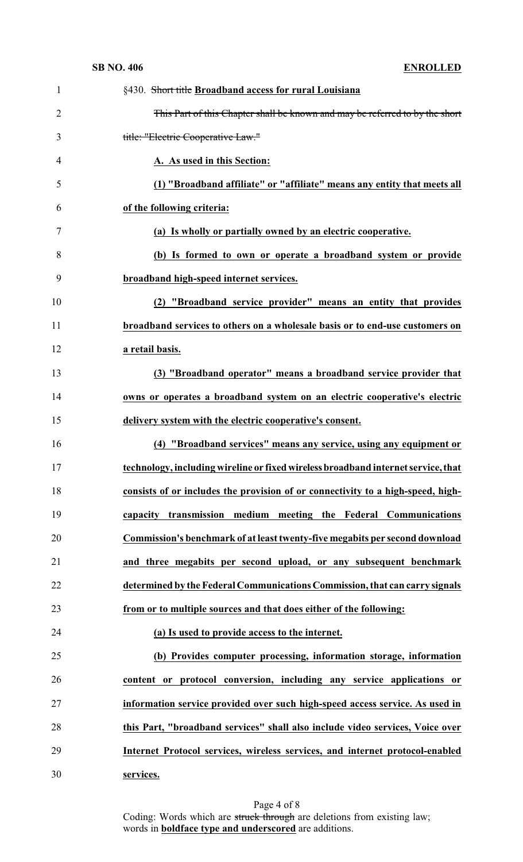| $\mathbf{1}$   | §430. Short title Broadband access for rural Louisiana                            |
|----------------|-----------------------------------------------------------------------------------|
| $\overline{c}$ | This Part of this Chapter shall be known and may be referred to by the short      |
| 3              | title: "Electric Cooperative Law."                                                |
| 4              | A. As used in this Section:                                                       |
| 5              | (1) "Broadband affiliate" or "affiliate" means any entity that meets all          |
| 6              | of the following criteria:                                                        |
| 7              | (a) Is wholly or partially owned by an electric cooperative.                      |
| 8              | (b) Is formed to own or operate a broadband system or provide                     |
| 9              | broadband high-speed internet services.                                           |
| 10             | (2) "Broadband service provider" means an entity that provides                    |
| 11             | broadband services to others on a wholesale basis or to end-use customers on      |
| 12             | a retail basis.                                                                   |
| 13             | (3) "Broadband operator" means a broadband service provider that                  |
| 14             | owns or operates a broadband system on an electric cooperative's electric         |
| 15             | delivery system with the electric cooperative's consent.                          |
|                |                                                                                   |
| 16             | (4) "Broadband services" means any service, using any equipment or                |
| 17             | technology, including wireline or fixed wireless broadband internet service, that |
| 18             | consists of or includes the provision of or connectivity to a high-speed, high-   |
| 19             | capacity transmission medium meeting the Federal Communications                   |
| 20             | Commission's benchmark of at least twenty-five megabits per second download       |
| 21             | and three megabits per second upload, or any subsequent benchmark                 |
| 22             | determined by the Federal Communications Commission, that can carry signals       |
| 23             | from or to multiple sources and that does either of the following:                |
| 24             | (a) Is used to provide access to the internet.                                    |
| 25             | (b) Provides computer processing, information storage, information                |
| 26             | content or protocol conversion, including any service applications or             |
| 27             | information service provided over such high-speed access service. As used in      |
| 28             | this Part, "broadband services" shall also include video services, Voice over     |
| 29             | Internet Protocol services, wireless services, and internet protocol-enabled      |

Page 4 of 8 Coding: Words which are struck through are deletions from existing law; words in **boldface type and underscored** are additions.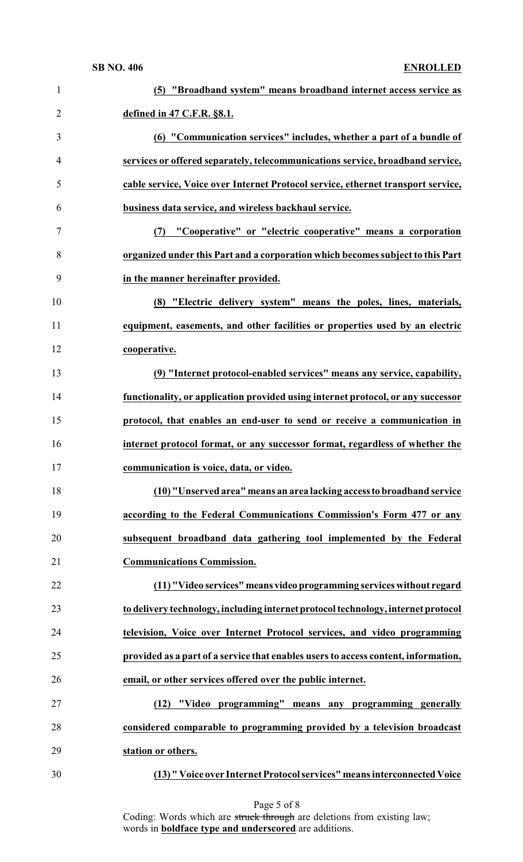| $\mathbf{1}$   | (5) "Broadband system" means broadband internet access service as                  |
|----------------|------------------------------------------------------------------------------------|
| $\overline{2}$ | defined in 47 C.F.R. §8.1.                                                         |
| 3              | (6) "Communication services" includes, whether a part of a bundle of               |
| $\overline{4}$ | services or offered separately, telecommunications service, broadband service,     |
| 5              | cable service, Voice over Internet Protocol service, ethernet transport service,   |
| 6              | business data service, and wireless backhaul service.                              |
| 7              | "Cooperative" or "electric cooperative" means a corporation<br>(7)                 |
| 8              | organized under this Part and a corporation which becomes subject to this Part     |
| 9              | in the manner hereinafter provided.                                                |
| 10             | (8) "Electric delivery system" means the poles, lines, materials,                  |
| 11             | equipment, easements, and other facilities or properties used by an electric       |
| 12             | cooperative.                                                                       |
| 13             | (9) "Internet protocol-enabled services" means any service, capability,            |
| 14             | functionality, or application provided using internet protocol, or any successor   |
| 15             | protocol, that enables an end-user to send or receive a communication in           |
| 16             | internet protocol format, or any successor format, regardless of whether the       |
| 17             | communication is voice, data, or video.                                            |
| 18             | (10) "Unserved area" means an area lacking access to broadband service             |
| 19             | according to the Federal Communications Commission's Form 477 or any               |
| 20             | subsequent broadband data gathering tool implemented by the Federal                |
| 21             | <b>Communications Commission.</b>                                                  |
| 22             | (11) "Video services" means video programming services without regard              |
| 23             | to delivery technology, including internet protocol technology, internet protocol  |
| 24             | television, Voice over Internet Protocol services, and video programming           |
| 25             | provided as a part of a service that enables users to access content, information, |
| 26             | email, or other services offered over the public internet.                         |
| 27             | (12) "Video programming" means any programming generally                           |
| 28             | considered comparable to programming provided by a television broadcast            |
| 29             | station or others.                                                                 |
| 30             | (13) " Voice over Internet Protocol services" means interconnected Voice           |

Coding: Words which are struck through are deletions from existing law; words in **boldface type and underscored** are additions.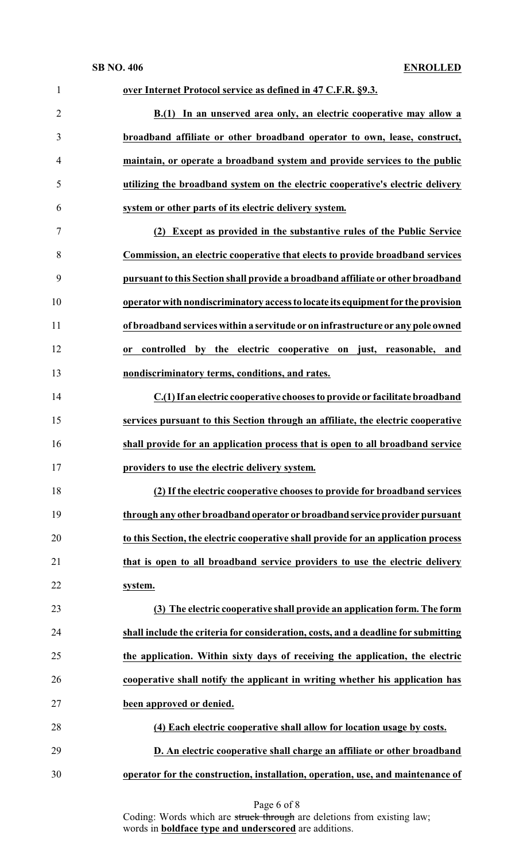| $\mathbf{1}$   | over Internet Protocol service as defined in 47 C.F.R. §9.3.                       |
|----------------|------------------------------------------------------------------------------------|
| $\overline{2}$ | B.(1) In an unserved area only, an electric cooperative may allow a                |
| 3              | broadband affiliate or other broadband operator to own, lease, construct,          |
| 4              | maintain, or operate a broadband system and provide services to the public         |
| 5              | utilizing the broadband system on the electric cooperative's electric delivery     |
| 6              | system or other parts of its electric delivery system.                             |
| 7              | Except as provided in the substantive rules of the Public Service<br>(2)           |
| 8              | Commission, an electric cooperative that elects to provide broadband services      |
| 9              | pursuant to this Section shall provide a broadband affiliate or other broadband    |
| 10             | operator with nondiscriminatory access to locate its equipment for the provision   |
| 11             | of broadband services within a servitude or on infrastructure or any pole owned    |
| 12             | controlled by the electric cooperative on just, reasonable, and<br><b>or</b>       |
| 13             | nondiscriminatory terms, conditions, and rates.                                    |
| 14             | C.(1) If an electric cooperative chooses to provide or facilitate broadband        |
| 15             | services pursuant to this Section through an affiliate, the electric cooperative   |
| 16             | shall provide for an application process that is open to all broadband service     |
| 17             | providers to use the electric delivery system.                                     |
| 18             | (2) If the electric cooperative chooses to provide for broadband services          |
| 19             | through any other broadband operator or broadband service provider pursuant        |
| 20             | to this Section, the electric cooperative shall provide for an application process |
| 21             | that is open to all broadband service providers to use the electric delivery       |
| 22             | system.                                                                            |
| 23             | (3) The electric cooperative shall provide an application form. The form           |
| 24             | shall include the criteria for consideration, costs, and a deadline for submitting |
| 25             | the application. Within sixty days of receiving the application, the electric      |
| 26             | cooperative shall notify the applicant in writing whether his application has      |
| 27             | been approved or denied.                                                           |
| 28             | (4) Each electric cooperative shall allow for location usage by costs.             |
| 29             | D. An electric cooperative shall charge an affiliate or other broadband            |
| 30             | operator for the construction, installation, operation, use, and maintenance of    |

| Page 6 of 8 |  |  |  |
|-------------|--|--|--|
|-------------|--|--|--|

Coding: Words which are struck through are deletions from existing law; words in **boldface type and underscored** are additions.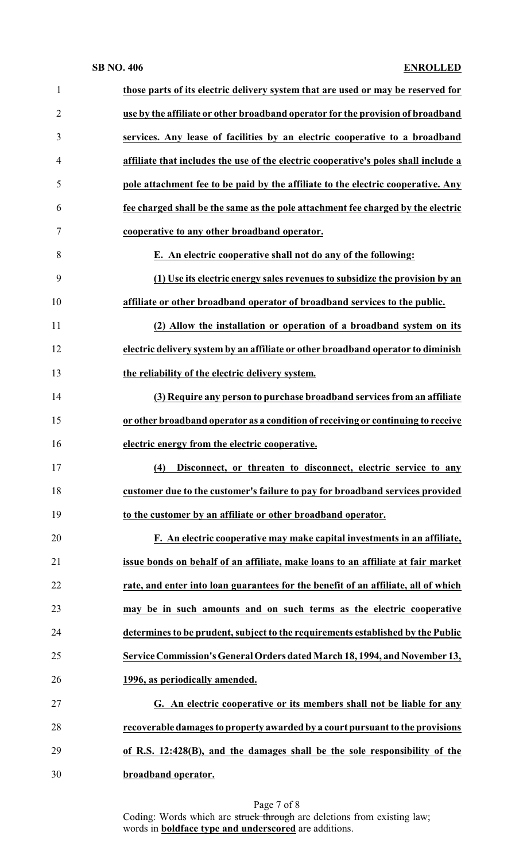## **SB NO. 406 ENROLLED**

| $\mathbf{1}$   | those parts of its electric delivery system that are used or may be reserved for    |
|----------------|-------------------------------------------------------------------------------------|
| $\overline{2}$ | use by the affiliate or other broadband operator for the provision of broadband     |
| 3              | services. Any lease of facilities by an electric cooperative to a broadband         |
| $\overline{4}$ | affiliate that includes the use of the electric cooperative's poles shall include a |
| 5              | pole attachment fee to be paid by the affiliate to the electric cooperative. Any    |
| 6              | fee charged shall be the same as the pole attachment fee charged by the electric    |
| 7              | cooperative to any other broadband operator.                                        |
| 8              | E. An electric cooperative shall not do any of the following:                       |
| 9              | (1) Use its electric energy sales revenues to subsidize the provision by an         |
| 10             | affiliate or other broadband operator of broadband services to the public.          |
| 11             | (2) Allow the installation or operation of a broadband system on its                |
| 12             | electric delivery system by an affiliate or other broadband operator to diminish    |
| 13             | the reliability of the electric delivery system.                                    |
| 14             | (3) Require any person to purchase broadband services from an affiliate             |
| 15             | or other broadband operator as a condition of receiving or continuing to receive    |
| 16             | electric energy from the electric cooperative.                                      |
| 17             | (4) Disconnect, or threaten to disconnect, electric service to any                  |
| 18             | customer due to the customer's failure to pay for broadband services provided       |
| 19             | to the customer by an affiliate or other broadband operator.                        |
| 20             | F. An electric cooperative may make capital investments in an affiliate,            |
| 21             | issue bonds on behalf of an affiliate, make loans to an affiliate at fair market    |
| 22             | rate, and enter into loan guarantees for the benefit of an affiliate, all of which  |
| 23             | may be in such amounts and on such terms as the electric cooperative                |
| 24             | determines to be prudent, subject to the requirements established by the Public     |
| 25             | Service Commission's General Orders dated March 18, 1994, and November 13,          |
| 26             | 1996, as periodically amended.                                                      |
| 27             | G. An electric cooperative or its members shall not be liable for any               |
|                | recoverable damages to property awarded by a court pursuant to the provisions       |
| 28             |                                                                                     |
| 29             | of R.S. 12:428(B), and the damages shall be the sole responsibility of the          |

Page 7 of 8 Coding: Words which are struck through are deletions from existing law; words in **boldface type and underscored** are additions.